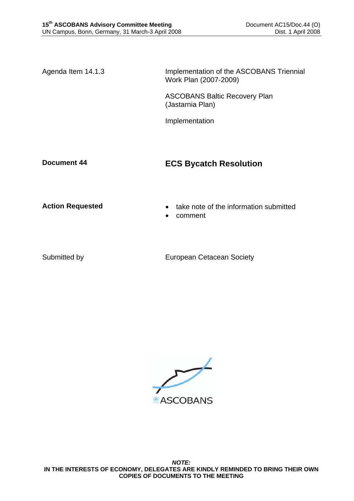Agenda Item 14.1.3 Implementation of the ASCOBANS Triennial Work Plan (2007-2009)

> ASCOBANS Baltic Recovery Plan (Jastarnia Plan)

Implementation

## **Document 44 ECS Bycatch Resolution**

- **Action Requested**  take note of the information submitted
	- comment

Submitted by European Cetacean Society